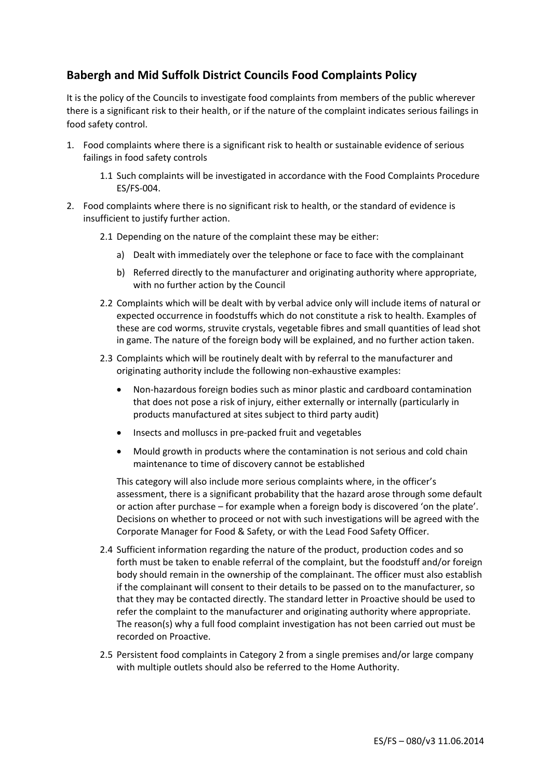## **Babergh and Mid Suffolk District Councils Food Complaints Policy**

It is the policy of the Councils to investigate food complaints from members of the public wherever there is a significant risk to their health, or if the nature of the complaint indicates serious failings in food safety control.

- 1. Food complaints where there is a significant risk to health or sustainable evidence of serious failings in food safety controls
	- 1.1 Such complaints will be investigated in accordance with the Food Complaints Procedure ES/FS-004.
- 2. Food complaints where there is no significant risk to health, or the standard of evidence is insufficient to justify further action.
	- 2.1 Depending on the nature of the complaint these may be either:
		- a) Dealt with immediately over the telephone or face to face with the complainant
		- b) Referred directly to the manufacturer and originating authority where appropriate, with no further action by the Council
	- 2.2 Complaints which will be dealt with by verbal advice only will include items of natural or expected occurrence in foodstuffs which do not constitute a risk to health. Examples of these are cod worms, struvite crystals, vegetable fibres and small quantities of lead shot in game. The nature of the foreign body will be explained, and no further action taken.
	- 2.3 Complaints which will be routinely dealt with by referral to the manufacturer and originating authority include the following non-exhaustive examples:
		- Non-hazardous foreign bodies such as minor plastic and cardboard contamination that does not pose a risk of injury, either externally or internally (particularly in products manufactured at sites subject to third party audit)
		- Insects and molluscs in pre-packed fruit and vegetables
		- Mould growth in products where the contamination is not serious and cold chain maintenance to time of discovery cannot be established

This category will also include more serious complaints where, in the officer's assessment, there is a significant probability that the hazard arose through some default or action after purchase – for example when a foreign body is discovered 'on the plate'. Decisions on whether to proceed or not with such investigations will be agreed with the Corporate Manager for Food & Safety, or with the Lead Food Safety Officer.

- 2.4 Sufficient information regarding the nature of the product, production codes and so forth must be taken to enable referral of the complaint, but the foodstuff and/or foreign body should remain in the ownership of the complainant. The officer must also establish if the complainant will consent to their details to be passed on to the manufacturer, so that they may be contacted directly. The standard letter in Proactive should be used to refer the complaint to the manufacturer and originating authority where appropriate. The reason(s) why a full food complaint investigation has not been carried out must be recorded on Proactive.
- 2.5 Persistent food complaints in Category 2 from a single premises and/or large company with multiple outlets should also be referred to the Home Authority.